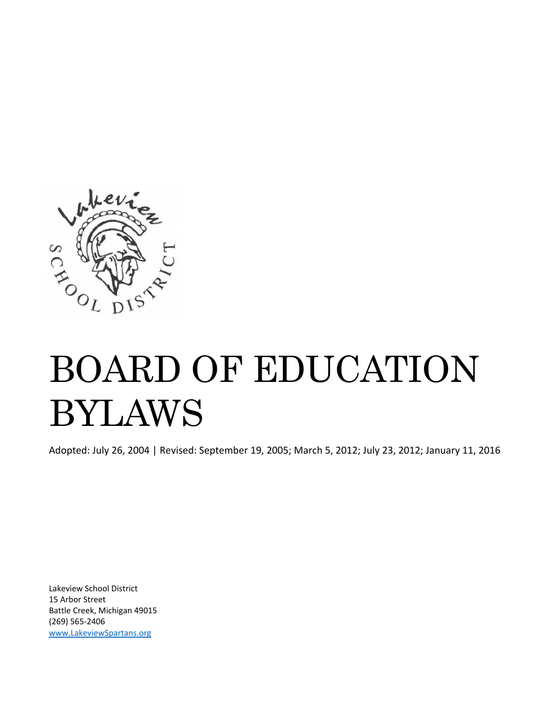

# BOARD OF EDUCATION BYLAWS

Adopted: July 26, 2004 | Revised: September 19, 2005; March 5, 2012; July 23, 2012; January 11, 2016

Lakeview School District 15 Arbor Street Battle Creek, Michigan 49015 (269) 565‐2406 www.LakeviewSpartans.org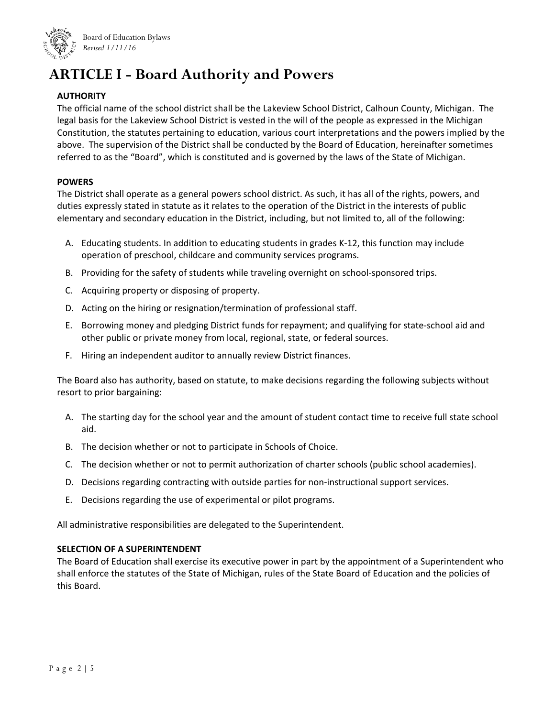

## **ARTICLE I - Board Authority and Powers**

#### **AUTHORITY**

The official name of the school district shall be the Lakeview School District, Calhoun County, Michigan. The legal basis for the Lakeview School District is vested in the will of the people as expressed in the Michigan Constitution, the statutes pertaining to education, various court interpretations and the powers implied by the above. The supervision of the District shall be conducted by the Board of Education, hereinafter sometimes referred to as the "Board", which is constituted and is governed by the laws of the State of Michigan.

#### **POWERS**

The District shall operate as a general powers school district. As such, it has all of the rights, powers, and duties expressly stated in statute as it relates to the operation of the District in the interests of public elementary and secondary education in the District, including, but not limited to, all of the following:

- A. Educating students. In addition to educating students in grades K‐12, this function may include operation of preschool, childcare and community services programs.
- B. Providing for the safety of students while traveling overnight on school‐sponsored trips.
- C. Acquiring property or disposing of property.
- D. Acting on the hiring or resignation/termination of professional staff.
- E. Borrowing money and pledging District funds for repayment; and qualifying for state‐school aid and other public or private money from local, regional, state, or federal sources.
- F. Hiring an independent auditor to annually review District finances.

The Board also has authority, based on statute, to make decisions regarding the following subjects without resort to prior bargaining:

- A. The starting day for the school year and the amount of student contact time to receive full state school aid.
- B. The decision whether or not to participate in Schools of Choice.
- C. The decision whether or not to permit authorization of charter schools (public school academies).
- D. Decisions regarding contracting with outside parties for non-instructional support services.
- E. Decisions regarding the use of experimental or pilot programs.

All administrative responsibilities are delegated to the Superintendent.

#### **SELECTION OF A SUPERINTENDENT**

The Board of Education shall exercise its executive power in part by the appointment of a Superintendent who shall enforce the statutes of the State of Michigan, rules of the State Board of Education and the policies of this Board.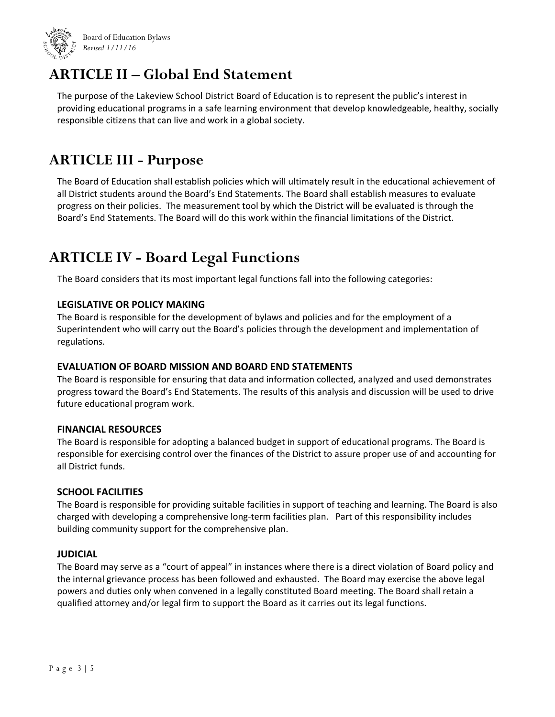

### **ARTICLE II – Global End Statement**

The purpose of the Lakeview School District Board of Education is to represent the public's interest in providing educational programs in a safe learning environment that develop knowledgeable, healthy, socially responsible citizens that can live and work in a global society.

### **ARTICLE III - Purpose**

The Board of Education shall establish policies which will ultimately result in the educational achievement of all District students around the Board's End Statements. The Board shall establish measures to evaluate progress on their policies. The measurement tool by which the District will be evaluated is through the Board's End Statements. The Board will do this work within the financial limitations of the District.

## **ARTICLE IV - Board Legal Functions**

The Board considers that its most important legal functions fall into the following categories:

#### **LEGISLATIVE OR POLICY MAKING**

The Board is responsible for the development of bylaws and policies and for the employment of a Superintendent who will carry out the Board's policies through the development and implementation of regulations.

#### **EVALUATION OF BOARD MISSION AND BOARD END STATEMENTS**

The Board is responsible for ensuring that data and information collected, analyzed and used demonstrates progress toward the Board's End Statements. The results of this analysis and discussion will be used to drive future educational program work.

#### **FINANCIAL RESOURCES**

The Board is responsible for adopting a balanced budget in support of educational programs. The Board is responsible for exercising control over the finances of the District to assure proper use of and accounting for all District funds.

#### **SCHOOL FACILITIES**

The Board is responsible for providing suitable facilities in support of teaching and learning. The Board is also charged with developing a comprehensive long-term facilities plan. Part of this responsibility includes building community support for the comprehensive plan.

#### **JUDICIAL**

The Board may serve as a "court of appeal" in instances where there is a direct violation of Board policy and the internal grievance process has been followed and exhausted. The Board may exercise the above legal powers and duties only when convened in a legally constituted Board meeting. The Board shall retain a qualified attorney and/or legal firm to support the Board as it carries out its legal functions.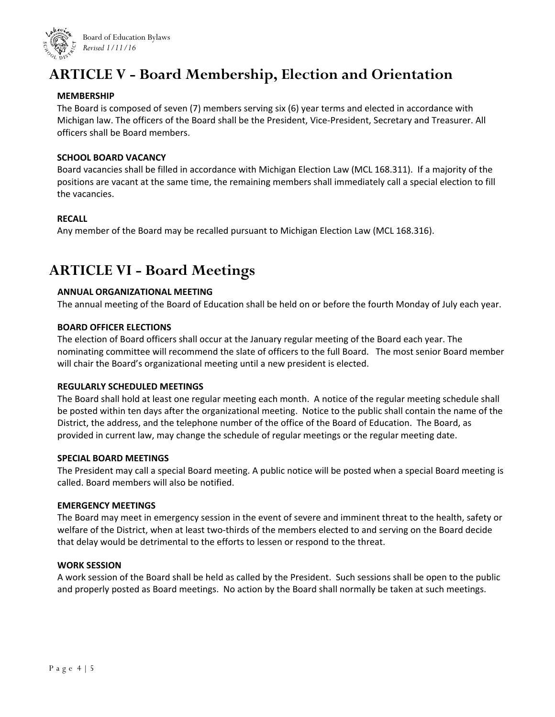

## **ARTICLE V - Board Membership, Election and Orientation**

#### **MEMBERSHIP**

The Board is composed of seven (7) members serving six (6) year terms and elected in accordance with Michigan law. The officers of the Board shall be the President, Vice‐President, Secretary and Treasurer. All officers shall be Board members.

#### **SCHOOL BOARD VACANCY**

Board vacancies shall be filled in accordance with Michigan Election Law (MCL 168.311). If a majority of the positions are vacant at the same time, the remaining members shall immediately call a special election to fill the vacancies.

#### **RECALL**

Any member of the Board may be recalled pursuant to Michigan Election Law (MCL 168.316).

### **ARTICLE VI - Board Meetings**

#### **ANNUAL ORGANIZATIONAL MEETING**

The annual meeting of the Board of Education shall be held on or before the fourth Monday of July each year.

#### **BOARD OFFICER ELECTIONS**

The election of Board officers shall occur at the January regular meeting of the Board each year. The nominating committee will recommend the slate of officers to the full Board. The most senior Board member will chair the Board's organizational meeting until a new president is elected.

#### **REGULARLY SCHEDULED MEETINGS**

The Board shall hold at least one regular meeting each month. A notice of the regular meeting schedule shall be posted within ten days after the organizational meeting. Notice to the public shall contain the name of the District, the address, and the telephone number of the office of the Board of Education. The Board, as provided in current law, may change the schedule of regular meetings or the regular meeting date.

#### **SPECIAL BOARD MEETINGS**

The President may call a special Board meeting. A public notice will be posted when a special Board meeting is called. Board members will also be notified.

#### **EMERGENCY MEETINGS**

The Board may meet in emergency session in the event of severe and imminent threat to the health, safety or welfare of the District, when at least two-thirds of the members elected to and serving on the Board decide that delay would be detrimental to the efforts to lessen or respond to the threat.

#### **WORK SESSION**

A work session of the Board shall be held as called by the President. Such sessions shall be open to the public and properly posted as Board meetings. No action by the Board shall normally be taken at such meetings.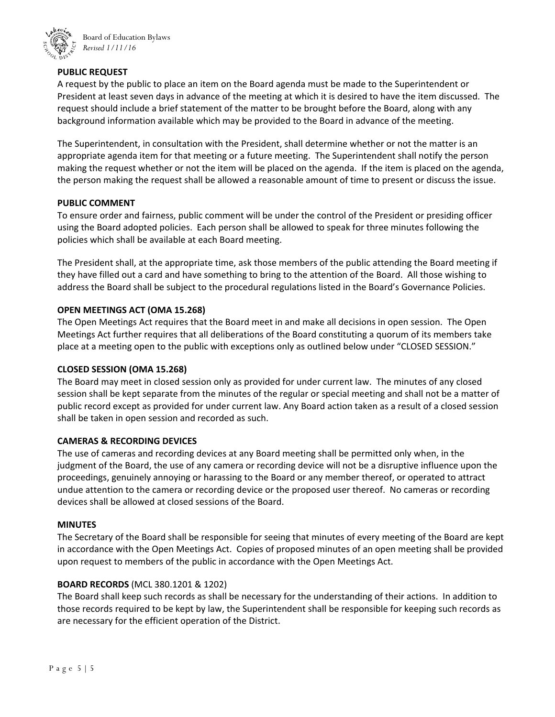

Board of Education Bylaws *Revised 1/11/16*

#### **PUBLIC REQUEST**

A request by the public to place an item on the Board agenda must be made to the Superintendent or President at least seven days in advance of the meeting at which it is desired to have the item discussed. The request should include a brief statement of the matter to be brought before the Board, along with any background information available which may be provided to the Board in advance of the meeting.

The Superintendent, in consultation with the President, shall determine whether or not the matter is an appropriate agenda item for that meeting or a future meeting. The Superintendent shall notify the person making the request whether or not the item will be placed on the agenda. If the item is placed on the agenda, the person making the request shall be allowed a reasonable amount of time to present or discuss the issue.

#### **PUBLIC COMMENT**

To ensure order and fairness, public comment will be under the control of the President or presiding officer using the Board adopted policies. Each person shall be allowed to speak for three minutes following the policies which shall be available at each Board meeting.

The President shall, at the appropriate time, ask those members of the public attending the Board meeting if they have filled out a card and have something to bring to the attention of the Board. All those wishing to address the Board shall be subject to the procedural regulations listed in the Board's Governance Policies.

#### **OPEN MEETINGS ACT (OMA 15.268)**

The Open Meetings Act requires that the Board meet in and make all decisions in open session. The Open Meetings Act further requires that all deliberations of the Board constituting a quorum of its members take place at a meeting open to the public with exceptions only as outlined below under "CLOSED SESSION."

#### **CLOSED SESSION (OMA 15.268)**

The Board may meet in closed session only as provided for under current law. The minutes of any closed session shall be kept separate from the minutes of the regular or special meeting and shall not be a matter of public record except as provided for under current law. Any Board action taken as a result of a closed session shall be taken in open session and recorded as such.

#### **CAMERAS & RECORDING DEVICES**

The use of cameras and recording devices at any Board meeting shall be permitted only when, in the judgment of the Board, the use of any camera or recording device will not be a disruptive influence upon the proceedings, genuinely annoying or harassing to the Board or any member thereof, or operated to attract undue attention to the camera or recording device or the proposed user thereof. No cameras or recording devices shall be allowed at closed sessions of the Board.

#### **MINUTES**

The Secretary of the Board shall be responsible for seeing that minutes of every meeting of the Board are kept in accordance with the Open Meetings Act. Copies of proposed minutes of an open meeting shall be provided upon request to members of the public in accordance with the Open Meetings Act.

#### **BOARD RECORDS** (MCL 380.1201 & 1202)

The Board shall keep such records as shall be necessary for the understanding of their actions. In addition to those records required to be kept by law, the Superintendent shall be responsible for keeping such records as are necessary for the efficient operation of the District.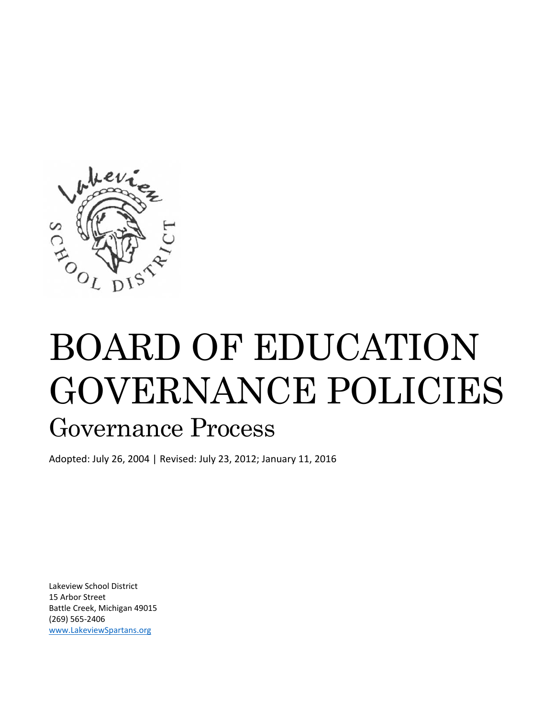

# BOARD OF EDUCATION GOVERNANCE POLICIES Governance Process

Adopted: July 26, 2004 | Revised: July 23, 2012; January 11, 2016

Lakeview School District 15 Arbor Street Battle Creek, Michigan 49015 (269) 565‐2406 www.LakeviewSpartans.org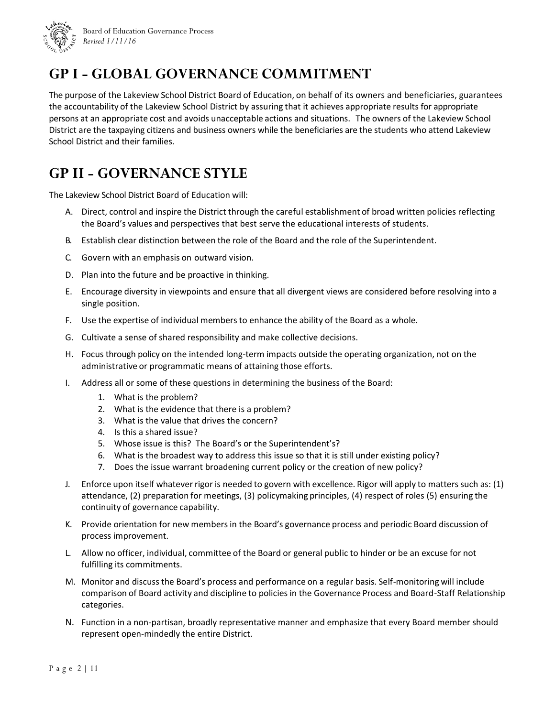

Board of Education Governance Process *Revised 1/11/16*

## **GP I - GLOBAL GOVERNANCE COMMITMENT**

The purpose of the Lakeview School District Board of Education, on behalf of its owners and beneficiaries, guarantees the accountability of the Lakeview School District by assuring that it achieves appropriate results for appropriate persons at an appropriate cost and avoids unacceptable actions and situations. The owners of the Lakeview School District are the taxpaying citizens and business owners while the beneficiaries are the students who attend Lakeview School District and their families.

## **GP II - GOVERNANCE STYLE**

The Lakeview School District Board of Education will:

- A. Direct, control and inspire the District through the careful establishment of broad written policies reflecting the Board's values and perspectives that best serve the educational interests of students.
- B. Establish clear distinction between the role of the Board and the role of the Superintendent.
- C. Govern with an emphasis on outward vision.
- D. Plan into the future and be proactive in thinking.
- E. Encourage diversity in viewpoints and ensure that all divergent views are considered before resolving into a single position.
- F. Use the expertise of individual membersto enhance the ability of the Board as a whole.
- G. Cultivate a sense of shared responsibility and make collective decisions.
- H. Focus through policy on the intended long-term impacts outside the operating organization, not on the administrative or programmatic means of attaining those efforts.
- I. Address all or some of these questions in determining the business of the Board:
	- 1. What is the problem?
	- 2. What is the evidence that there is a problem?
	- 3. What is the value that drives the concern?
	- 4. Is this a shared issue?
	- 5. Whose issue is this? The Board's or the Superintendent's?
	- 6. What is the broadest way to address this issue so that it is still under existing policy?
	- 7. Does the issue warrant broadening current policy or the creation of new policy?
- J. Enforce upon itself whatever rigor is needed to govern with excellence. Rigor will apply to matters such as: (1) attendance, (2) preparation for meetings, (3) policymaking principles, (4) respect of roles (5) ensuring the continuity of governance capability.
- K. Provide orientation for new membersin the Board's governance process and periodic Board discussion of process improvement.
- L. Allow no officer, individual, committee of the Board or general public to hinder or be an excuse for not fulfilling its commitments.
- M. Monitor and discuss the Board's process and performance on a regular basis. Self-monitoring will include comparison of Board activity and discipline to policies in the Governance Process and Board-Staff Relationship categories.
- N. Function in a non‐partisan, broadly representative manner and emphasize that every Board member should represent open‐mindedly the entire District.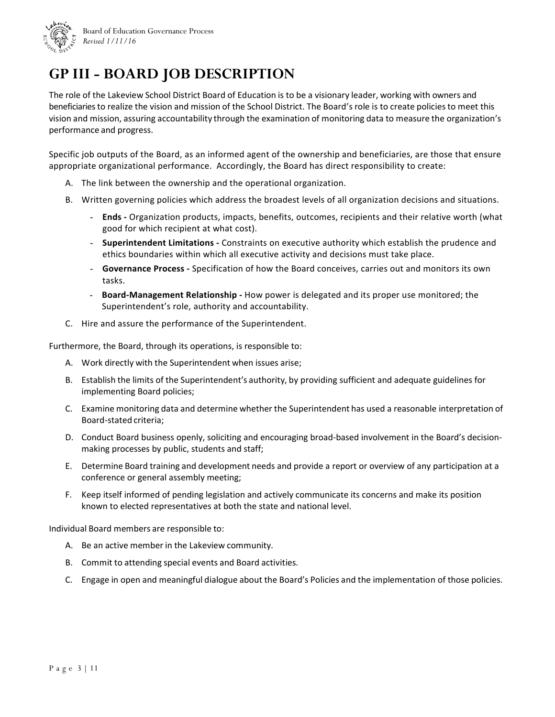

## **GP III - BOARD JOB DESCRIPTION**

The role of the Lakeview School District Board of Education is to be a visionary leader, working with owners and beneficiaries to realize the vision and mission of the School District. The Board's role is to create policies to meet this vision and mission, assuring accountability through the examination of monitoring data to measure the organization's performance and progress.

Specific job outputs of the Board, as an informed agent of the ownership and beneficiaries, are those that ensure appropriate organizational performance. Accordingly, the Board has direct responsibility to create:

- A. The link between the ownership and the operational organization.
- B. Written governing policies which address the broadest levels of all organization decisions and situations.
	- **Ends ‐** Organization products, impacts, benefits, outcomes, recipients and their relative worth (what good for which recipient at what cost).
	- **Superintendent Limitations ‐** Constraints on executive authority which establish the prudence and ethics boundaries within which all executive activity and decisions must take place.
	- **Governance Process ‐** Specification of how the Board conceives, carries out and monitors its own tasks.
	- **Board‐Management Relationship ‐** How power is delegated and its proper use monitored; the Superintendent's role, authority and accountability.
- C. Hire and assure the performance of the Superintendent.

Furthermore, the Board, through its operations, is responsible to:

- A. Work directly with the Superintendent when issues arise;
- B. Establish the limits of the Superintendent's authority, by providing sufficient and adequate guidelines for implementing Board policies;
- C. Examine monitoring data and determine whether the Superintendent has used a reasonable interpretation of Board‐stated criteria;
- D. Conduct Board business openly, soliciting and encouraging broad-based involvement in the Board's decisionmaking processes by public, students and staff;
- E. Determine Board training and development needs and provide a report or overview of any participation at a conference or general assembly meeting;
- F. Keep itself informed of pending legislation and actively communicate its concerns and make its position known to elected representatives at both the state and national level.

Individual Board members are responsible to:

- A. Be an active member in the Lakeview community.
- B. Commit to attending special events and Board activities.
- C. Engage in open and meaningful dialogue about the Board's Policies and the implementation of those policies.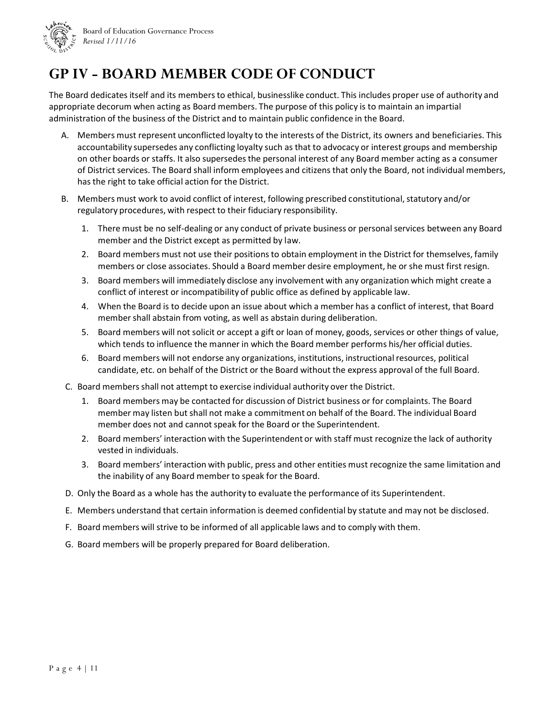

## **GP IV - BOARD MEMBER CODE OF CONDUCT**

The Board dedicates itself and its members to ethical, businesslike conduct. This includes proper use of authority and appropriate decorum when acting as Board members. The purpose of this policy is to maintain an impartial administration of the business of the District and to maintain public confidence in the Board.

- A. Members must represent unconflicted loyalty to the interests of the District, its owners and beneficiaries. This accountability supersedes any conflicting loyalty such as that to advocacy or interest groups and membership on other boards or staffs. It also supersedesthe personal interest of any Board member acting as a consumer of District services. The Board shall inform employees and citizens that only the Board, not individual members, has the right to take official action for the District.
- B. Members must work to avoid conflict of interest, following prescribed constitutional, statutory and/or regulatory procedures, with respect to their fiduciary responsibility.
	- 1. There must be no self-dealing or any conduct of private business or personal services between any Board member and the District except as permitted by law.
	- 2. Board members must not use their positionsto obtain employment in the District for themselves, family members or close associates. Should a Board member desire employment, he or she must first resign.
	- 3. Board members will immediately disclose any involvement with any organization which might create a conflict of interest or incompatibility of public office as defined by applicable law.
	- 4. When the Board is to decide upon an issue about which a member has a conflict of interest, that Board member shall abstain from voting, as well as abstain during deliberation.
	- 5. Board members will not solicit or accept a gift or loan of money, goods, services or other things of value, which tends to influence the manner in which the Board member performs his/her official duties.
	- 6. Board members will not endorse any organizations, institutions, instructional resources, political candidate, etc. on behalf of the District or the Board without the express approval of the full Board.
- C. Board membersshall not attempt to exercise individual authority over the District.
	- 1. Board members may be contacted for discussion of District business or for complaints. The Board member may listen but shall not make a commitment on behalf of the Board. The individual Board member does not and cannot speak for the Board or the Superintendent.
	- 2. Board members' interaction with the Superintendent or with staff must recognize the lack of authority vested in individuals.
	- 3. Board members' interaction with public, press and other entities must recognize the same limitation and the inability of any Board member to speak for the Board.
- D. Only the Board as a whole has the authority to evaluate the performance of its Superintendent.
- E. Members understand that certain information is deemed confidential by statute and may not be disclosed.
- F. Board members will strive to be informed of all applicable laws and to comply with them.
- G. Board members will be properly prepared for Board deliberation.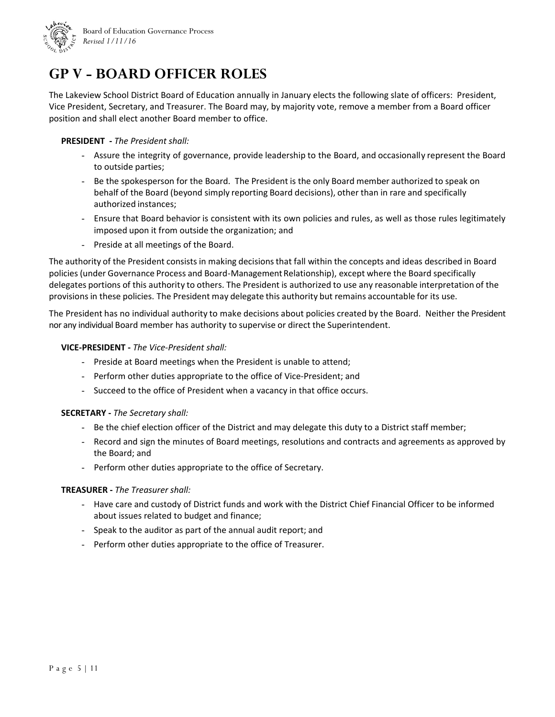

## **GP V - BOARD OFFICER ROLES**

The Lakeview School District Board of Education annually in January elects the following slate of officers: President, Vice President, Secretary, and Treasurer. The Board may, by majority vote, remove a member from a Board officer position and shall elect another Board member to office.

#### **PRESIDENT ‐** *The President shall:*

- Assure the integrity of governance, provide leadership to the Board, and occasionally represent the Board to outside parties;
- Be the spokesperson for the Board. The President is the only Board member authorized to speak on behalf of the Board (beyond simply reporting Board decisions), other than in rare and specifically authorized instances;
- Ensure that Board behavior is consistent with its own policies and rules, as well as those rules legitimately imposed upon it from outside the organization; and
- Preside at all meetings of the Board.

The authority of the President consists in making decisions that fall within the concepts and ideas described in Board policies (under Governance Process and Board-Management Relationship), except where the Board specifically delegates portions of this authority to others. The President is authorized to use any reasonable interpretation of the provisionsin these policies. The President may delegate this authority but remains accountable for its use.

The President has no individual authority to make decisions about policies created by the Board. Neither the President nor any individual Board member has authority to supervise or direct the Superintendent.

#### **VICE‐PRESIDENT ‐** *The Vice‐President shall:*

- Preside at Board meetings when the President is unable to attend;
- Perform other duties appropriate to the office of Vice‐President; and
- Succeed to the office of President when a vacancy in that office occurs.

#### **SECRETARY ‐** *The Secretary shall:*

- Be the chief election officer of the District and may delegate this duty to a District staff member;
- Record and sign the minutes of Board meetings, resolutions and contracts and agreements as approved by the Board; and
- Perform other duties appropriate to the office of Secretary.

#### **TREASURER ‐** *The Treasurer shall:*

- Have care and custody of District funds and work with the District Chief Financial Officer to be informed about issues related to budget and finance;
- Speak to the auditor as part of the annual audit report; and
- Perform other duties appropriate to the office of Treasurer.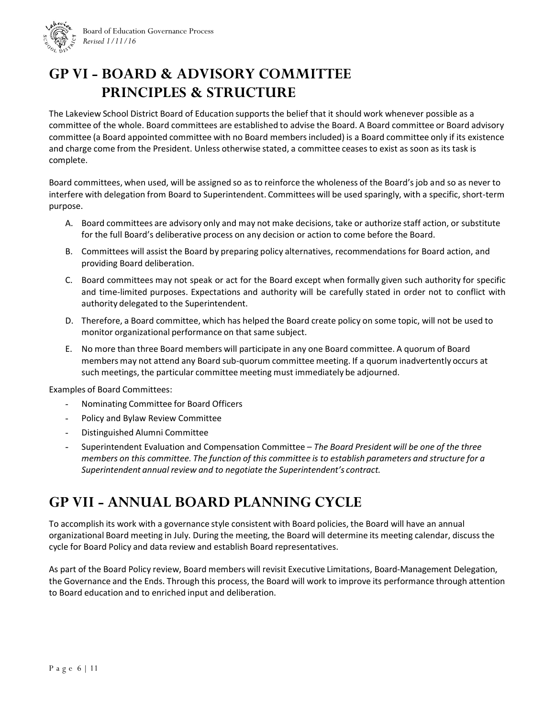

## **GP VI - BOARD & ADVISORY COMMITTEE PRINCIPLES & STRUCTURE**

The Lakeview School District Board of Education supports the belief that it should work whenever possible as a committee of the whole. Board committees are established to advise the Board. A Board committee or Board advisory committee (a Board appointed committee with no Board membersincluded) is a Board committee only if its existence and charge come from the President. Unless otherwise stated, a committee ceases to exist as soon as its task is complete.

Board committees, when used, will be assigned so as to reinforce the wholeness of the Board's job and so as never to interfere with delegation from Board to Superintendent. Committees will be used sparingly, with a specific, short-term purpose.

- A. Board committees are advisory only and may not make decisions, take or authorize staff action, or substitute for the full Board's deliberative process on any decision or action to come before the Board.
- B. Committees will assist the Board by preparing policy alternatives, recommendations for Board action, and providing Board deliberation.
- C. Board committees may not speak or act for the Board except when formally given such authority for specific and time‐limited purposes. Expectations and authority will be carefully stated in order not to conflict with authority delegated to the Superintendent.
- D. Therefore, a Board committee, which has helped the Board create policy on some topic, will not be used to monitor organizational performance on that same subject.
- E. No more than three Board members will participate in any one Board committee. A quorum of Board members may not attend any Board sub‐quorum committee meeting. If a quorum inadvertently occurs at such meetings, the particular committee meeting must immediately be adjourned.

Examples of Board Committees:

- Nominating Committee for Board Officers
- Policy and Bylaw Review Committee
- Distinguished Alumni Committee
- Superintendent Evaluation and Compensation Committee *The Board President will be one of the three members on this committee. The function of this committee is to establish parameters and structure for a Superintendent annual review and to negotiate the Superintendent's contract.*

## **GP VII - ANNUAL BOARD PLANNING CYCLE**

To accomplish its work with a governance style consistent with Board policies, the Board will have an annual organizational Board meeting in July. During the meeting, the Board will determine its meeting calendar, discuss the cycle for Board Policy and data review and establish Board representatives.

As part of the Board Policy review, Board members will revisit Executive Limitations, Board‐Management Delegation, the Governance and the Ends. Through this process, the Board will work to improve its performance through attention to Board education and to enriched input and deliberation.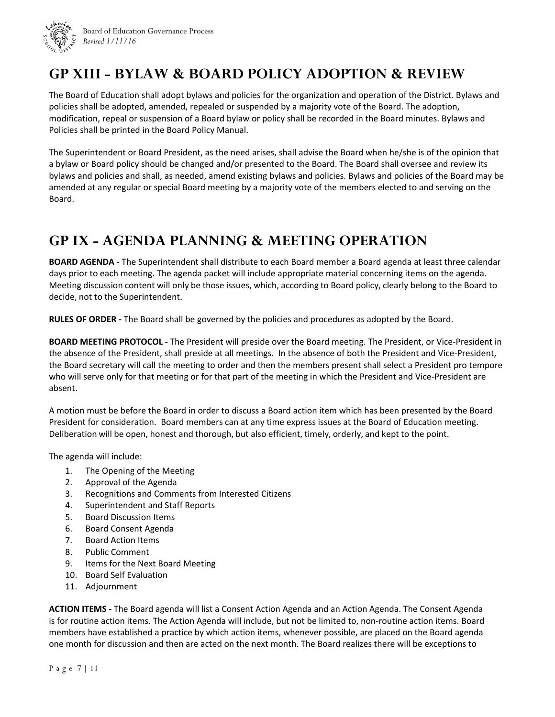

## **GP XIII - BYLAW & BOARD POLICY ADOPTION & REVIEW**

The Board of Education shall adopt bylaws and policies for the organization and operation of the District. Bylaws and policies shall be adopted, amended, repealed or suspended by a majority vote of the Board. The adoption, modification, repeal or suspension of a Board bylaw or policy shall be recorded in the Board minutes. Bylaws and Policies shall be printed in the Board Policy Manual.

The Superintendent or Board President, as the need arises, shall advise the Board when he/she is of the opinion that a bylaw or Board policy should be changed and/or presented to the Board. The Board shall oversee and review its bylaws and policies and shall, as needed, amend existing bylaws and policies. Bylaws and policies of the Board may be amended at any regular or special Board meeting by a majority vote of the members elected to and serving on the Board.

## **GP IX - AGENDA PLANNING & MEETING OPERATION**

**BOARD AGENDA ‐** The Superintendent shall distribute to each Board member a Board agenda at least three calendar days prior to each meeting. The agenda packet will include appropriate material concerning items on the agenda. Meeting discussion content will only be those issues, which, according to Board policy, clearly belong to the Board to decide, not to the Superintendent.

**RULES OF ORDER ‐** The Board shall be governed by the policies and procedures as adopted by the Board.

**BOARD MEETING PROTOCOL ‐** The President will preside over the Board meeting. The President, or Vice‐President in the absence of the President, shall preside at all meetings. In the absence of both the President and Vice‐President, the Board secretary will call the meeting to order and then the members present shall select a President pro tempore who will serve only for that meeting or for that part of the meeting in which the President and Vice-President are absent.

A motion must be before the Board in order to discuss a Board action item which has been presented by the Board President for consideration. Board members can at any time express issues at the Board of Education meeting. Deliberation will be open, honest and thorough, but also efficient, timely, orderly, and kept to the point.

The agenda will include:

- 1. The Opening of the Meeting
- 2. Approval of the Agenda
- 3. Recognitions and Comments from Interested Citizens
- 4. Superintendent and Staff Reports
- 5. Board Discussion Items
- 6. Board Consent Agenda
- 7. Board Action Items
- 8. Public Comment
- 9. Items for the Next Board Meeting
- 10. Board Self Evaluation
- 11. Adjournment

**ACTION ITEMS ‐** The Board agenda will list a Consent Action Agenda and an Action Agenda. The Consent Agenda is for routine action items. The Action Agenda will include, but not be limited to, non-routine action items. Board members have established a practice by which action items, whenever possible, are placed on the Board agenda one month for discussion and then are acted on the next month. The Board realizes there will be exceptions to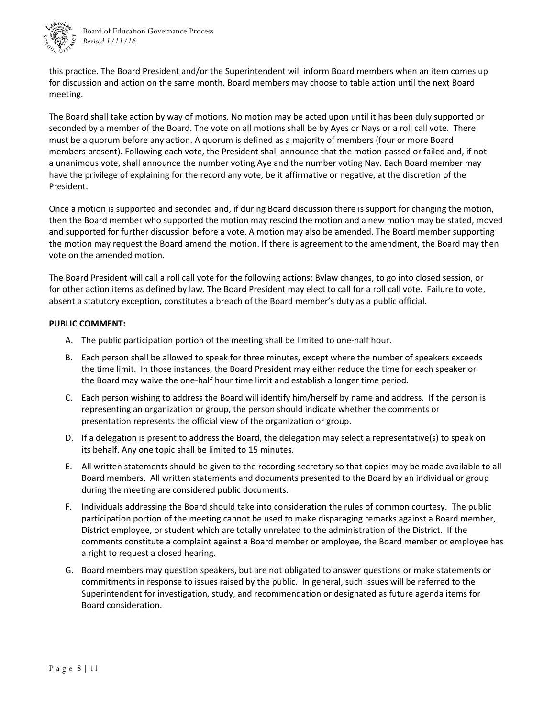

this practice. The Board President and/or the Superintendent will inform Board members when an item comes up for discussion and action on the same month. Board members may choose to table action until the next Board meeting.

The Board shall take action by way of motions. No motion may be acted upon until it has been duly supported or seconded by a member of the Board. The vote on all motions shall be by Ayes or Nays or a roll call vote. There must be a quorum before any action. A quorum is defined as a majority of members (four or more Board members present). Following each vote, the President shall announce that the motion passed or failed and, if not a unanimous vote, shall announce the number voting Aye and the number voting Nay. Each Board member may have the privilege of explaining for the record any vote, be it affirmative or negative, at the discretion of the President.

Once a motion is supported and seconded and, if during Board discussion there is support for changing the motion, then the Board member who supported the motion may rescind the motion and a new motion may be stated, moved and supported for further discussion before a vote. A motion may also be amended. The Board member supporting the motion may request the Board amend the motion. If there is agreement to the amendment, the Board may then vote on the amended motion.

The Board President will call a roll call vote for the following actions: Bylaw changes, to go into closed session, or for other action items as defined by law. The Board President may elect to call for a roll call vote. Failure to vote, absent a statutory exception, constitutes a breach of the Board member's duty as a public official.

#### **PUBLIC COMMENT:**

- A. The public participation portion of the meeting shall be limited to one‐half hour.
- B. Each person shall be allowed to speak for three minutes, except where the number of speakers exceeds the time limit. In those instances, the Board President may either reduce the time for each speaker or the Board may waive the one‐half hour time limit and establish a longer time period.
- C. Each person wishing to address the Board will identify him/herself by name and address. If the person is representing an organization or group, the person should indicate whether the comments or presentation represents the official view of the organization or group.
- D. If a delegation is present to address the Board, the delegation may select a representative(s) to speak on its behalf. Any one topic shall be limited to 15 minutes.
- E. All written statements should be given to the recording secretary so that copies may be made available to all Board members. All written statements and documents presented to the Board by an individual or group during the meeting are considered public documents.
- F. Individuals addressing the Board should take into consideration the rules of common courtesy. The public participation portion of the meeting cannot be used to make disparaging remarks against a Board member, District employee, or student which are totally unrelated to the administration of the District. If the comments constitute a complaint against a Board member or employee, the Board member or employee has a right to request a closed hearing.
- G. Board members may question speakers, but are not obligated to answer questions or make statements or commitments in response to issues raised by the public. In general, such issues will be referred to the Superintendent for investigation, study, and recommendation or designated as future agenda items for Board consideration.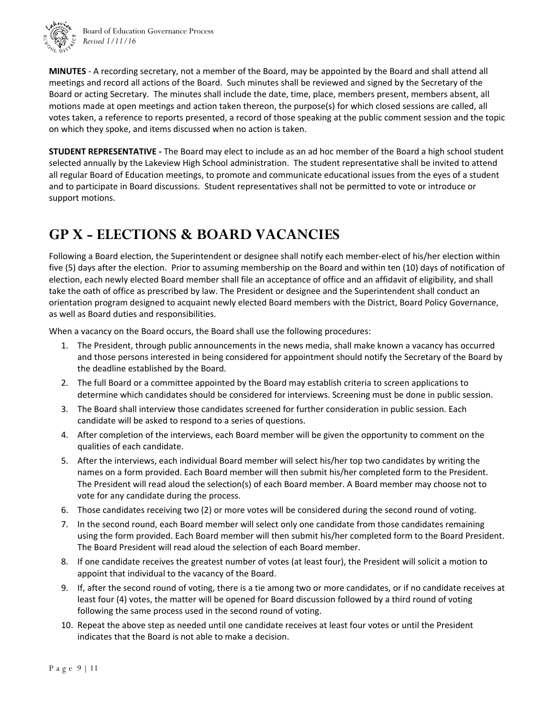

Board of Education Governance Process *Revised 1/11/16*

**MINUTES** ‐ A recording secretary, not a member of the Board, may be appointed by the Board and shall attend all meetings and record all actions of the Board. Such minutes shall be reviewed and signed by the Secretary of the Board or acting Secretary. The minutes shall include the date, time, place, members present, members absent, all motions made at open meetings and action taken thereon, the purpose(s) for which closed sessions are called, all votes taken, a reference to reports presented, a record of those speaking at the public comment session and the topic on which they spoke, and items discussed when no action is taken.

**STUDENT REPRESENTATIVE ‐** The Board may elect to include as an ad hoc member of the Board a high school student selected annually by the Lakeview High School administration. The student representative shall be invited to attend all regular Board of Education meetings, to promote and communicate educational issues from the eyes of a student and to participate in Board discussions.Student representatives shall not be permitted to vote or introduce or support motions.

## **GP X - ELECTIONS & BOARD VACANCIES**

Following a Board election, the Superintendent or designee shall notify each member-elect of his/her election within five (5) days after the election. Prior to assuming membership on the Board and within ten (10) days of notification of election, each newly elected Board member shall file an acceptance of office and an affidavit of eligibility, and shall take the oath of office as prescribed by law. The President or designee and the Superintendent shall conduct an orientation program designed to acquaint newly elected Board members with the District, Board Policy Governance, as well as Board duties and responsibilities.

When a vacancy on the Board occurs, the Board shall use the following procedures:

- 1. The President, through public announcements in the news media, shall make known a vacancy has occurred and those persons interested in being considered for appointment should notify the Secretary of the Board by the deadline established by the Board.
- 2. The full Board or a committee appointed by the Board may establish criteria to screen applications to determine which candidates should be considered for interviews. Screening must be done in public session.
- 3. The Board shall interview those candidates screened for further consideration in public session. Each candidate will be asked to respond to a series of questions.
- 4. After completion of the interviews, each Board member will be given the opportunity to comment on the qualities of each candidate.
- 5. After the interviews, each individual Board member will select his/her top two candidates by writing the names on a form provided. Each Board member will then submit his/her completed form to the President. The President will read aloud the selection(s) of each Board member. A Board member may choose not to vote for any candidate during the process.
- 6. Those candidates receiving two (2) or more votes will be considered during the second round of voting.
- 7. In the second round, each Board member will select only one candidate from those candidates remaining using the form provided. Each Board member will then submit his/her completed form to the Board President. The Board President will read aloud the selection of each Board member.
- 8. If one candidate receives the greatest number of votes (at least four), the President will solicit a motion to appoint that individual to the vacancy of the Board.
- 9. If, after the second round of voting, there is a tie among two or more candidates, or if no candidate receives at least four (4) votes, the matter will be opened for Board discussion followed by a third round of voting following the same process used in the second round of voting.
- 10. Repeat the above step as needed until one candidate receives at least four votes or until the President indicates that the Board is not able to make a decision.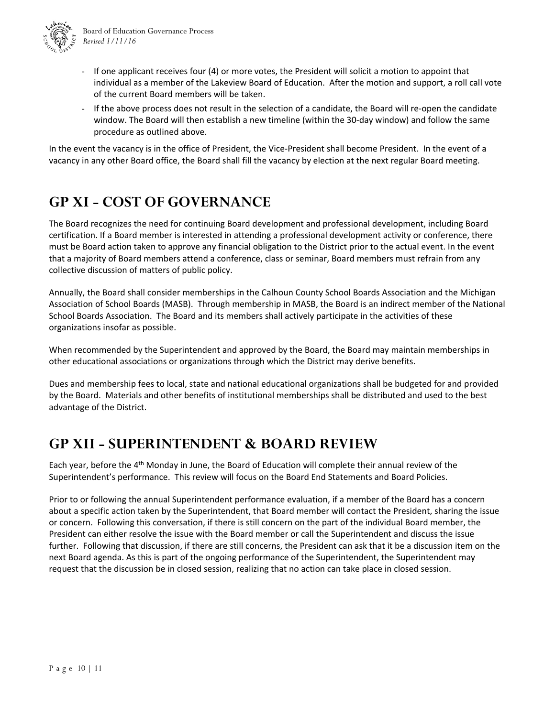

- If one applicant receives four (4) or more votes, the President will solicit a motion to appoint that individual as a member of the Lakeview Board of Education. After the motion and support, a roll call vote of the current Board members will be taken.
- If the above process does not result in the selection of a candidate, the Board will re‐open the candidate window. The Board will then establish a new timeline (within the 30‐day window) and follow the same procedure as outlined above.

In the event the vacancy is in the office of President, the Vice-President shall become President. In the event of a vacancy in any other Board office, the Board shall fill the vacancy by election at the next regular Board meeting.

## **GP XI - COST OF GOVERNANCE**

The Board recognizes the need for continuing Board development and professional development, including Board certification. If a Board member is interested in attending a professional development activity or conference, there must be Board action taken to approve any financial obligation to the District prior to the actual event. In the event that a majority of Board members attend a conference, class or seminar, Board members must refrain from any collective discussion of matters of public policy.

Annually, the Board shall consider memberships in the Calhoun County School Boards Association and the Michigan Association of School Boards (MASB). Through membership in MASB, the Board is an indirect member of the National School Boards Association. The Board and its members shall actively participate in the activities of these organizations insofar as possible.

When recommended by the Superintendent and approved by the Board, the Board may maintain memberships in other educational associations or organizations through which the District may derive benefits.

Dues and membership fees to local, state and national educational organizations shall be budgeted for and provided by the Board. Materials and other benefits of institutional memberships shall be distributed and used to the best advantage of the District.

## **GP XII - SUPERINTENDENT & BOARD REVIEW**

Each vear, before the 4<sup>th</sup> Monday in June, the Board of Education will complete their annual review of the Superintendent's performance. This review will focus on the Board End Statements and Board Policies.

Prior to or following the annual Superintendent performance evaluation, if a member of the Board has a concern about a specific action taken by the Superintendent, that Board member will contact the President, sharing the issue or concern. Following this conversation, if there is still concern on the part of the individual Board member, the President can either resolve the issue with the Board member or call the Superintendent and discuss the issue further. Following that discussion, if there are still concerns, the President can ask that it be a discussion item on the next Board agenda. As this is part of the ongoing performance of the Superintendent, the Superintendent may request that the discussion be in closed session, realizing that no action can take place in closed session.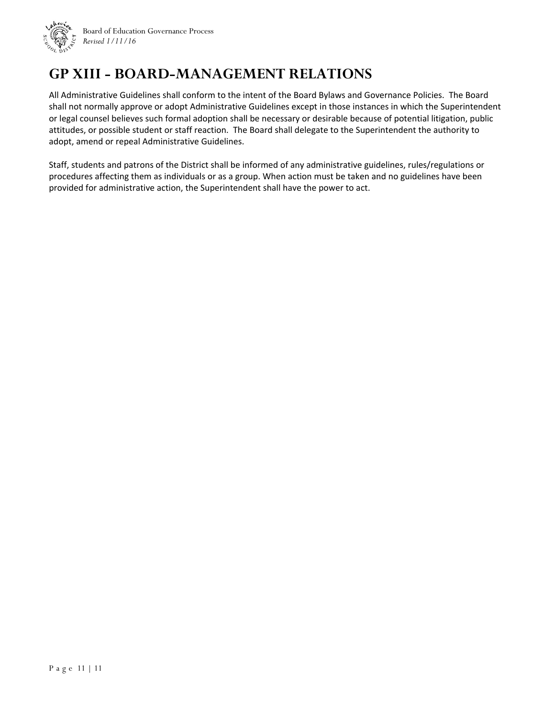

Board of Education Governance Process *Revised 1/11/16*

## **GP XIII - BOARD-MANAGEMENT RELATIONS**

All Administrative Guidelines shall conform to the intent of the Board Bylaws and Governance Policies. The Board shall not normally approve or adopt Administrative Guidelines except in those instances in which the Superintendent or legal counsel believes such formal adoption shall be necessary or desirable because of potential litigation, public attitudes, or possible student or staff reaction. The Board shall delegate to the Superintendent the authority to adopt, amend or repeal Administrative Guidelines.

Staff, students and patrons of the District shall be informed of any administrative guidelines, rules/regulations or procedures affecting them as individuals or as a group. When action must be taken and no guidelines have been provided for administrative action, the Superintendent shall have the power to act.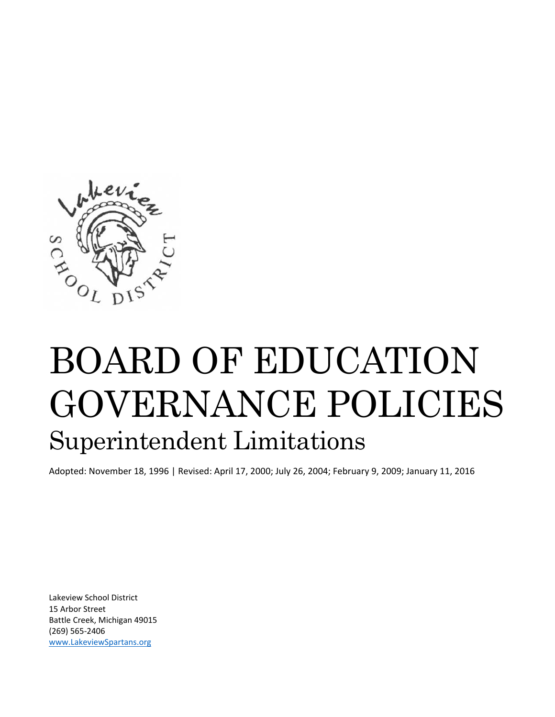

# BOARD OF EDUCATION GOVERNANCE POLICIES Superintendent Limitations

Adopted: November 18, 1996 | Revised: April 17, 2000; July 26, 2004; February 9, 2009; January 11, 2016

Lakeview School District 15 Arbor Street Battle Creek, Michigan 49015 (269) 565‐2406 www.LakeviewSpartans.org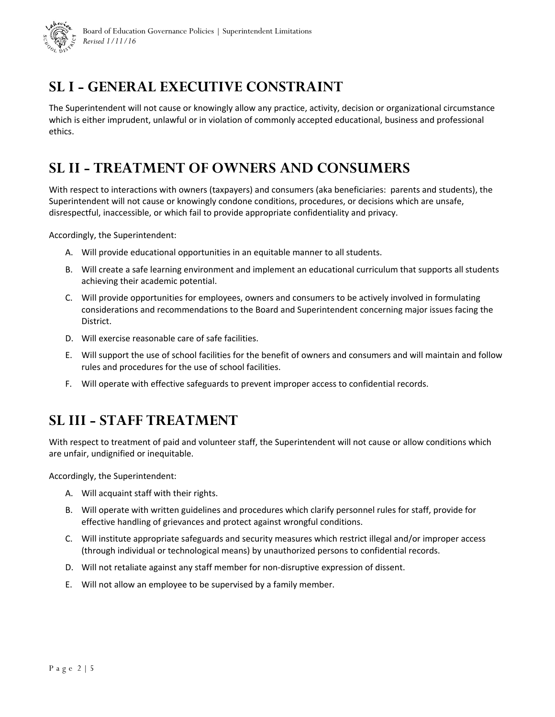

## **SL I - GENERAL EXECUTIVE CONSTRAINT**

The Superintendent will not cause or knowingly allow any practice, activity, decision or organizational circumstance which is either imprudent, unlawful or in violation of commonly accepted educational, business and professional ethics.

## **SL II - TREATMENT OF OWNERS AND CONSUMERS**

With respect to interactions with owners (taxpayers) and consumers (aka beneficiaries: parents and students), the Superintendent will not cause or knowingly condone conditions, procedures, or decisions which are unsafe, disrespectful, inaccessible, or which fail to provide appropriate confidentiality and privacy.

Accordingly, the Superintendent:

- A. Will provide educational opportunities in an equitable manner to all students.
- B. Will create a safe learning environment and implement an educational curriculum that supports all students achieving their academic potential.
- C. Will provide opportunities for employees, owners and consumers to be actively involved in formulating considerations and recommendations to the Board and Superintendent concerning major issues facing the District.
- D. Will exercise reasonable care of safe facilities.
- E. Will support the use of school facilities for the benefit of owners and consumers and will maintain and follow rules and procedures for the use of school facilities.
- F. Will operate with effective safeguards to prevent improper access to confidential records.

## **SL III - STAFF TREATMENT**

With respect to treatment of paid and volunteer staff, the Superintendent will not cause or allow conditions which are unfair, undignified or inequitable.

Accordingly, the Superintendent:

- A. Will acquaint staff with their rights.
- B. Will operate with written guidelines and procedures which clarify personnel rules for staff, provide for effective handling of grievances and protect against wrongful conditions.
- C. Will institute appropriate safeguards and security measures which restrict illegal and/or improper access (through individual or technological means) by unauthorized persons to confidential records.
- D. Will not retaliate against any staff member for non-disruptive expression of dissent.
- E. Will not allow an employee to be supervised by a family member.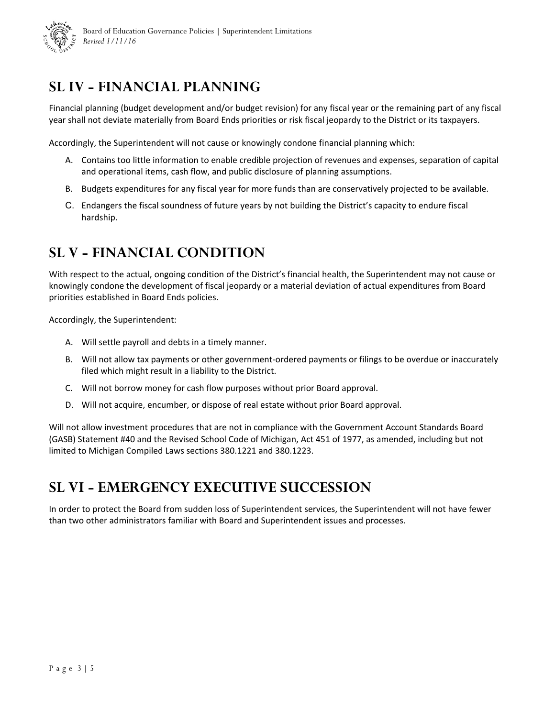

## **SL IV - FINANCIAL PLANNING**

Financial planning (budget development and/or budget revision) for any fiscal year or the remaining part of any fiscal year shall not deviate materially from Board Ends priorities or risk fiscal jeopardy to the District or its taxpayers.

Accordingly, the Superintendent will not cause or knowingly condone financial planning which:

- A. Contains too little information to enable credible projection of revenues and expenses, separation of capital and operational items, cash flow, and public disclosure of planning assumptions.
- B. Budgets expenditures for any fiscal year for more funds than are conservatively projected to be available.
- C. Endangers the fiscal soundness of future years by not building the District's capacity to endure fiscal hardship.

## **SL V - FINANCIAL CONDITION**

With respect to the actual, ongoing condition of the District's financial health, the Superintendent may not cause or knowingly condone the development of fiscal jeopardy or a material deviation of actual expenditures from Board priorities established in Board Ends policies.

Accordingly, the Superintendent:

- A. Will settle payroll and debts in a timely manner.
- B. Will not allow tax payments or other government‐ordered payments or filings to be overdue or inaccurately filed which might result in a liability to the District.
- C. Will not borrow money for cash flow purposes without prior Board approval.
- D. Will not acquire, encumber, or dispose of real estate without prior Board approval.

Will not allow investment procedures that are not in compliance with the Government Account Standards Board (GASB) Statement #40 and the Revised School Code of Michigan, Act 451 of 1977, as amended, including but not limited to Michigan Compiled Laws sections 380.1221 and 380.1223.

### **SL VI - EMERGENCY EXECUTIVE SUCCESSION**

In order to protect the Board from sudden loss of Superintendent services, the Superintendent will not have fewer than two other administrators familiar with Board and Superintendent issues and processes.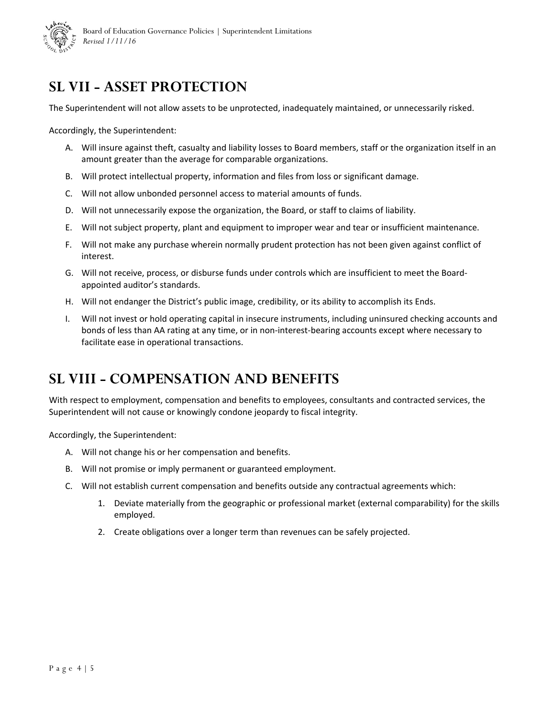

## **SL VII - ASSET PROTECTION**

The Superintendent will not allow assets to be unprotected, inadequately maintained, or unnecessarily risked.

Accordingly, the Superintendent:

- A. Will insure against theft, casualty and liability losses to Board members, staff or the organization itself in an amount greater than the average for comparable organizations.
- B. Will protect intellectual property, information and files from loss or significant damage.
- C. Will not allow unbonded personnel access to material amounts of funds.
- D. Will not unnecessarily expose the organization, the Board, or staff to claims of liability.
- E. Will not subject property, plant and equipment to improper wear and tear or insufficient maintenance.
- F. Will not make any purchase wherein normally prudent protection has not been given against conflict of interest.
- G. Will not receive, process, or disburse funds under controls which are insufficient to meet the Board‐ appointed auditor's standards.
- H. Will not endanger the District's public image, credibility, or its ability to accomplish its Ends.
- I. Will not invest or hold operating capital in insecure instruments, including uninsured checking accounts and bonds of less than AA rating at any time, or in non‐interest‐bearing accounts except where necessary to facilitate ease in operational transactions.

### **SL VIII - COMPENSATION AND BENEFITS**

With respect to employment, compensation and benefits to employees, consultants and contracted services, the Superintendent will not cause or knowingly condone jeopardy to fiscal integrity.

Accordingly, the Superintendent:

- A. Will not change his or her compensation and benefits.
- B. Will not promise or imply permanent or guaranteed employment.
- C. Will not establish current compensation and benefits outside any contractual agreements which:
	- 1. Deviate materially from the geographic or professional market (external comparability) for the skills employed.
	- 2. Create obligations over a longer term than revenues can be safely projected.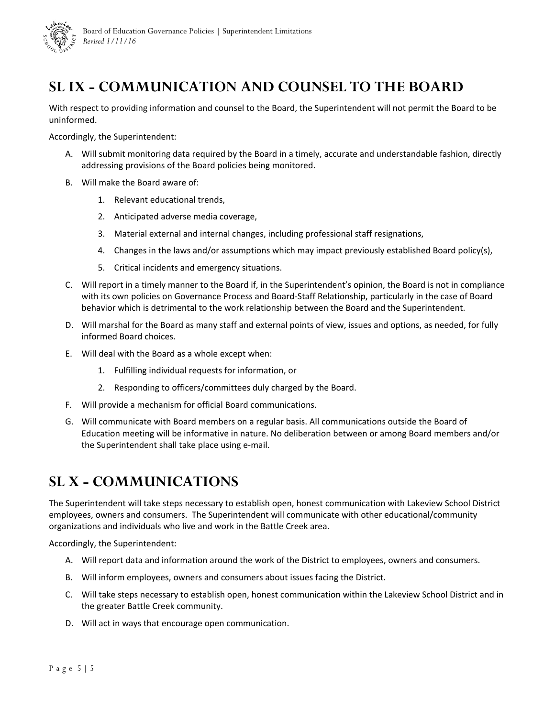

## **SL IX - COMMUNICATION AND COUNSEL TO THE BOARD**

With respect to providing information and counsel to the Board, the Superintendent will not permit the Board to be uninformed.

Accordingly, the Superintendent:

- A. Will submit monitoring data required by the Board in a timely, accurate and understandable fashion, directly addressing provisions of the Board policies being monitored.
- B. Will make the Board aware of:
	- 1. Relevant educational trends,
	- 2. Anticipated adverse media coverage,
	- 3. Material external and internal changes, including professional staff resignations,
	- 4. Changes in the laws and/or assumptions which may impact previously established Board policy(s),
	- 5. Critical incidents and emergency situations.
- C. Will report in a timely manner to the Board if, in the Superintendent's opinion, the Board is not in compliance with its own policies on Governance Process and Board‐Staff Relationship, particularly in the case of Board behavior which is detrimental to the work relationship between the Board and the Superintendent.
- D. Will marshal for the Board as many staff and external points of view, issues and options, as needed, for fully informed Board choices.
- E. Will deal with the Board as a whole except when:
	- 1. Fulfilling individual requests for information, or
	- 2. Responding to officers/committees duly charged by the Board.
- F. Will provide a mechanism for official Board communications.
- G. Will communicate with Board members on a regular basis. All communications outside the Board of Education meeting will be informative in nature. No deliberation between or among Board members and/or the Superintendent shall take place using e‐mail.

## **SL X - COMMUNICATIONS**

The Superintendent will take steps necessary to establish open, honest communication with Lakeview School District employees, owners and consumers. The Superintendent will communicate with other educational/community organizations and individuals who live and work in the Battle Creek area.

Accordingly, the Superintendent:

- A. Will report data and information around the work of the District to employees, owners and consumers.
- B. Will inform employees, owners and consumers about issues facing the District.
- C. Will take steps necessary to establish open, honest communication within the Lakeview School District and in the greater Battle Creek community.
- D. Will act in ways that encourage open communication.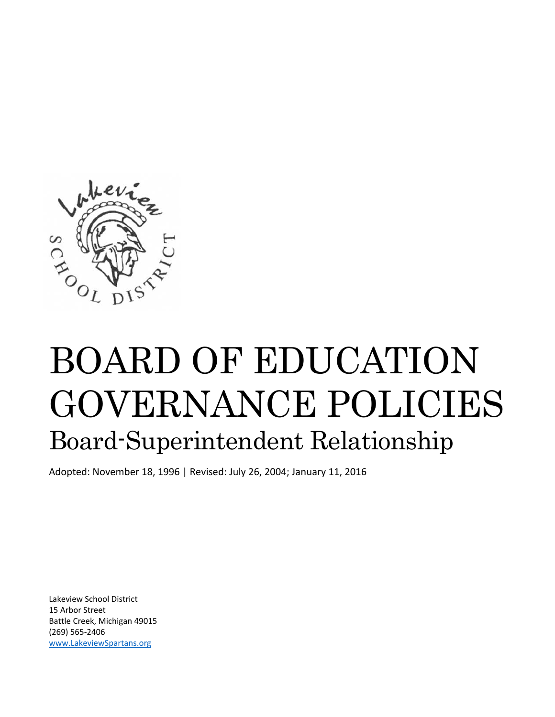

# BOARD OF EDUCATION GOVERNANCE POLICIES Board-Superintendent Relationship

Adopted: November 18, 1996 | Revised: July 26, 2004; January 11, 2016

Lakeview School District 15 Arbor Street Battle Creek, Michigan 49015 (269) 565‐2406 www.LakeviewSpartans.org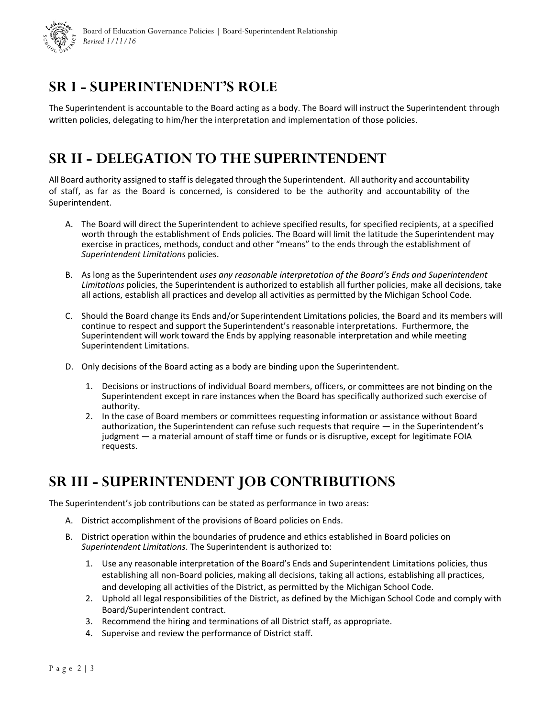

## **SR I - SUPERINTENDENT'S ROLE**

The Superintendent is accountable to the Board acting as a body. The Board will instruct the Superintendent through written policies, delegating to him/her the interpretation and implementation of those policies.

## **SR II - DELEGATION TO THE SUPERINTENDENT**

All Board authority assigned to staff is delegated through the Superintendent. All authority and accountability of staff, as far as the Board is concerned, is considered to be the authority and accountability of the Superintendent.

- A. The Board will direct the Superintendent to achieve specified results, for specified recipients, at a specified worth through the establishment of Ends policies. The Board will limit the latitude the Superintendent may exercise in practices, methods, conduct and other "means" to the ends through the establishment of *Superintendent Limitations* policies.
- B. As long as the Superintendent *uses any reasonable interpretation of the Board's Ends and Superintendent Limitations* policies, the Superintendent is authorized to establish all further policies, make all decisions, take all actions, establish all practices and develop all activities as permitted by the Michigan School Code.
- C. Should the Board change its Ends and/or Superintendent Limitations policies, the Board and its members will continue to respect and support the Superintendent's reasonable interpretations. Furthermore, the Superintendent will work toward the Ends by applying reasonable interpretation and while meeting Superintendent Limitations.
- D. Only decisions of the Board acting as a body are binding upon the Superintendent.
	- 1. Decisions or instructions of individual Board members, officers, or committees are not binding on the Superintendent except in rare instances when the Board has specifically authorized such exercise of authority.
	- 2. In the case of Board members or committees requesting information or assistance without Board authorization, the Superintendent can refuse such requests that require — in the Superintendent's judgment — a material amount of staff time or funds or is disruptive, except for legitimate FOIA requests.

## **SR III - SUPERINTENDENT JOB CONTRIBUTIONS**

The Superintendent's job contributions can be stated as performance in two areas:

- A. District accomplishment of the provisions of Board policies on Ends.
- B. District operation within the boundaries of prudence and ethics established in Board policies on *Superintendent Limitations*. The Superintendent is authorized to:
	- 1. Use any reasonable interpretation of the Board's Ends and Superintendent Limitations policies, thus establishing all non‐Board policies, making all decisions, taking all actions, establishing all practices, and developing all activities of the District, as permitted by the Michigan School Code.
	- 2. Uphold all legal responsibilities of the District, as defined by the Michigan School Code and comply with Board/Superintendent contract.
	- 3. Recommend the hiring and terminations of all District staff, as appropriate.
	- 4. Supervise and review the performance of District staff.